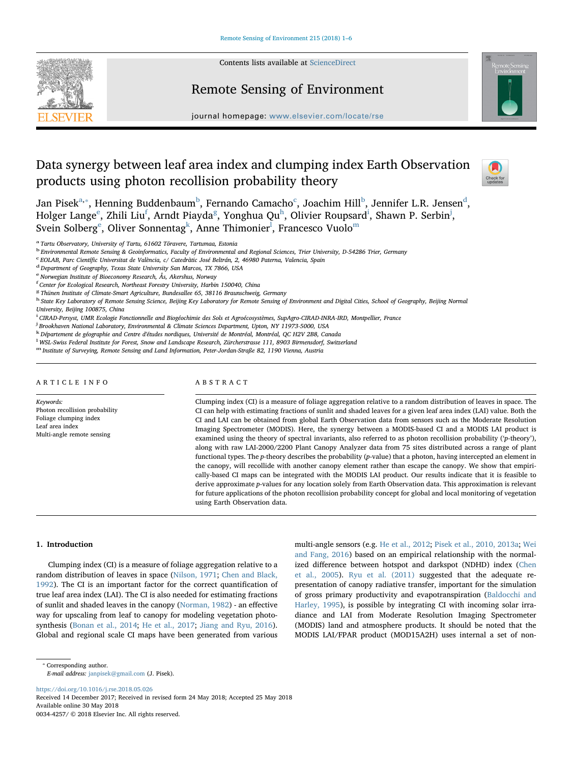

Contents lists available at [ScienceDirect](http://www.sciencedirect.com/science/journal/00344257)

# Remote Sensing of Environment



journal homepage: [www.elsevier.com/locate/rse](https://www.elsevier.com/locate/rse)

# Data synergy between leaf area index and clumping index Earth Observation products using photon recollision probability theory



Jan Pisek $^{\rm a, *}$  $^{\rm a, *}$  $^{\rm a, *}$ , Henning Budden[b](#page-0-2)aum $^{\rm b}$ , Fernando Cama[c](#page-0-3)ho $^{\rm c}$ , Joachim Hill $^{\rm b}$ , Jennifer L.R. Jensen $^{\rm d}$  $^{\rm d}$  $^{\rm d}$ , Holg[e](#page-0-5)r Lange<sup>e</sup>, Zhili Liu<sup>[f](#page-0-6)</sup>, Arndt Piayda<sup>[g](#page-0-7)</sup>, Yonghua Qu<sup>h</sup>, Ol[i](#page-0-9)vier Roupsard<sup>i</sup>, Shawn P. Serbin<sup>[j](#page-0-10)</sup>, Sv[e](#page-0-5)in Solberg<sup>e</sup>, Oliver Sonnentag<sup>[k](#page-0-11)</sup>, Anne Thimonier<sup>[l](#page-0-12)</sup>, Francesco Vuolo<sup>[m](#page-0-13)</sup>

<span id="page-0-0"></span><sup>a</sup> Tartu Observatory, University of Tartu, 61602 Tõravere, Tartumaa, Estonia

<span id="page-0-2"></span><sup>b</sup> Environmental Remote Sensing & Geoinformatics, Faculty of Environmental and Regional Sciences, Trier University, D-54286 Trier, Germany

<span id="page-0-3"></span><sup>c</sup> EOLAB, Parc Científic Universitat de València, c/ Catedràtic José Beltrán, 2, 46980 Paterna, Valencia, Spain

<span id="page-0-4"></span><sup>d</sup> Department of Geography, Texas State University San Marcos, TX 7866, USA

<span id="page-0-5"></span><sup>e</sup> Norwegian Institute of Bioeconomy Research, Ås, Akershus, Norway

<span id="page-0-6"></span>f Center for Ecological Research, Northeast Forestry University, Harbin 150040, China

<span id="page-0-7"></span><sup>8</sup> Thünen Institute of Climate-Smart Agriculture, Bundesallee 65, 38116 Braunschweig, Germany

<span id="page-0-8"></span>h State Key Laboratory of Remote Sensing Science, Beijing Key Laboratory for Remote Sensing of Environment and Digital Cities, School of Geography, Beijing Normal University, Beijing 100875, China

<span id="page-0-9"></span>i CIRAD-Persyst, UMR Ecologie Fonctionnelle and Biogéochimie des Sols et Agroécosystèmes, SupAgro-CIRAD-INRA-IRD, Montpellier, France

<span id="page-0-10"></span><sup>j</sup> Brookhaven National Laboratory, Environmental & Climate Sciences Department, Upton, NY 11973-5000, USA

<span id="page-0-11"></span>k Département de géographie and Centre d'études nordiques, Université de Montréal, Montréal, QC H2V 2B8, Canada

<span id="page-0-12"></span>l WSL-Swiss Federal Institute for Forest, Snow and Landscape Research, Zürcherstrasse 111, 8903 Birmensdorf, Switzerland

<span id="page-0-13"></span>m Institute of Surveying, Remote Sensing and Land Information, Peter-Jordan-Straße 82, 1190 Vienna, Austria

#### ARTICLE INFO

Keywords: Photon recollision probability Foliage clumping index Leaf area index Multi-angle remote sensing

#### ABSTRACT

Clumping index (CI) is a measure of foliage aggregation relative to a random distribution of leaves in space. The CI can help with estimating fractions of sunlit and shaded leaves for a given leaf area index (LAI) value. Both the CI and LAI can be obtained from global Earth Observation data from sensors such as the Moderate Resolution Imaging Spectrometer (MODIS). Here, the synergy between a MODIS-based CI and a MODIS LAI product is examined using the theory of spectral invariants, also referred to as photon recollision probability ('p-theory'), along with raw LAI-2000/2200 Plant Canopy Analyzer data from 75 sites distributed across a range of plant functional types. The p-theory describes the probability (p-value) that a photon, having intercepted an element in the canopy, will recollide with another canopy element rather than escape the canopy. We show that empirically-based CI maps can be integrated with the MODIS LAI product. Our results indicate that it is feasible to derive approximate p-values for any location solely from Earth Observation data. This approximation is relevant for future applications of the photon recollision probability concept for global and local monitoring of vegetation using Earth Observation data.

#### 1. Introduction

Clumping index (CI) is a measure of foliage aggregation relative to a random distribution of leaves in space [\(Nilson, 1971;](#page-5-0) [Chen and Black,](#page-5-1) [1992\)](#page-5-1). The CI is an important factor for the correct quantification of true leaf area index (LAI). The CI is also needed for estimating fractions of sunlit and shaded leaves in the canopy [\(Norman, 1982](#page-5-2)) - an effective way for upscaling from leaf to canopy for modeling vegetation photosynthesis ([Bonan et al., 2014;](#page-4-0) [He et al., 2017;](#page-5-3) [Jiang and Ryu, 2016](#page-5-4)). Global and regional scale CI maps have been generated from various multi-angle sensors (e.g. [He et al., 2012](#page-5-5); [Pisek et al., 2010, 2013a](#page-5-6); [Wei](#page-5-7) [and Fang, 2016\)](#page-5-7) based on an empirical relationship with the normalized difference between hotspot and darkspot (NDHD) index ([Chen](#page-5-8) [et al., 2005](#page-5-8)). [Ryu et al. \(2011\)](#page-5-9) suggested that the adequate representation of canopy radiative transfer, important for the simulation of gross primary productivity and evapotranspiration ([Baldocchi and](#page-4-1) [Harley, 1995\)](#page-4-1), is possible by integrating CI with incoming solar irradiance and LAI from Moderate Resolution Imaging Spectrometer (MODIS) land and atmosphere products. It should be noted that the MODIS LAI/FPAR product (MOD15A2H) uses internal a set of non-

E-mail address: [janpisek@gmail.com](mailto:janpisek@gmail.com) (J. Pisek).

<https://doi.org/10.1016/j.rse.2018.05.026>

0034-4257/ © 2018 Elsevier Inc. All rights reserved.

<span id="page-0-1"></span><sup>⁎</sup> Corresponding author.

Received 14 December 2017; Received in revised form 24 May 2018; Accepted 25 May 2018 Available online 30 May 2018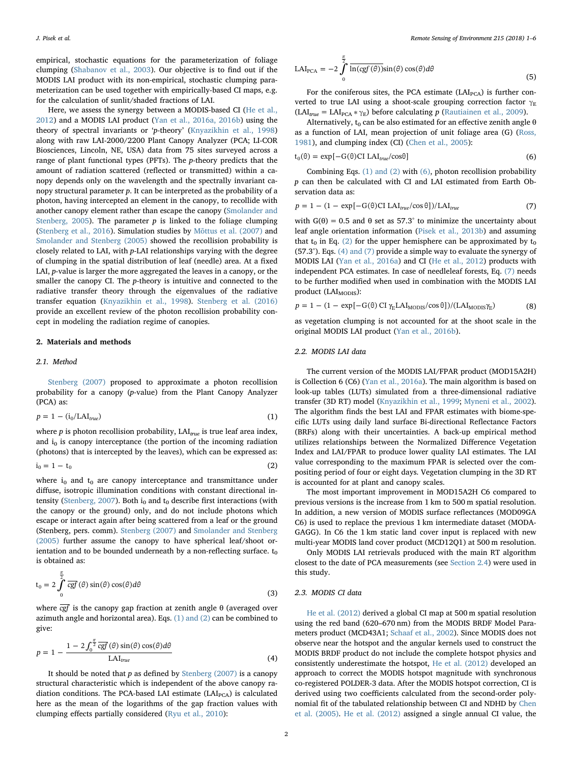empirical, stochastic equations for the parameterization of foliage clumping ([Shabanov et al., 2003\)](#page-5-10). Our objective is to find out if the MODIS LAI product with its non-empirical, stochastic clumping parameterization can be used together with empirically-based CI maps, e.g. for the calculation of sunlit/shaded fractions of LAI.

Here, we assess the synergy between a MODIS-based CI ([He et al.,](#page-5-5) [2012\)](#page-5-5) and a MODIS LAI product ([Yan et al., 2016a, 2016b\)](#page-5-11) using the theory of spectral invariants or 'p-theory' [\(Knyazikhin et al., 1998\)](#page-5-12) along with raw LAI-2000/2200 Plant Canopy Analyzer (PCA; LI-COR Biosciences, Lincoln, NE, USA) data from 75 sites surveyed across a range of plant functional types (PFTs). The p-theory predicts that the amount of radiation scattered (reflected or transmitted) within a canopy depends only on the wavelength and the spectrally invariant canopy structural parameter  $p$ . It can be interpreted as the probability of a photon, having intercepted an element in the canopy, to recollide with another canopy element rather than escape the canopy ([Smolander and](#page-5-13) [Stenberg, 2005\)](#page-5-13). The parameter  $p$  is linked to the foliage clumping ([Stenberg et al., 2016\)](#page-5-14). Simulation studies by [Mõttus et al. \(2007\)](#page-5-15) and [Smolander and Stenberg \(2005\)](#page-5-13) showed the recollision probability is closely related to LAI, with p-LAI relationships varying with the degree of clumping in the spatial distribution of leaf (needle) area. At a fixed LAI, p-value is larger the more aggregated the leaves in a canopy, or the smaller the canopy CI. The  $p$ -theory is intuitive and connected to the radiative transfer theory through the eigenvalues of the radiative transfer equation [\(Knyazikhin et al., 1998\)](#page-5-12). [Stenberg et al. \(2016\)](#page-5-14) provide an excellent review of the photon recollision probability concept in modeling the radiation regime of canopies.

#### 2. Materials and methods

#### 2.1. Method

*π*

<span id="page-1-0"></span>[Stenberg \(2007\)](#page-5-16) proposed to approximate a photon recollision probability for a canopy (p-value) from the Plant Canopy Analyzer (PCA) as:

$$
p = 1 - (i_0 / LAI_{true}) \tag{1}
$$

<span id="page-1-2"></span>where  $p$  is photon recollision probability,  $\text{LAI}_{true}$  is true leaf area index, and  $i_0$  is canopy interceptance (the portion of the incoming radiation (photons) that is intercepted by the leaves), which can be expressed as:

$$
i_0 = 1 - t_0 \tag{2}
$$

where  $i_0$  and  $t_0$  are canopy interceptance and transmittance under diffuse, isotropic illumination conditions with constant directional in-tensity ([Stenberg, 2007\)](#page-5-16). Both  $i_0$  and  $t_0$  describe first interactions (with the canopy or the ground) only, and do not include photons which escape or interact again after being scattered from a leaf or the ground (Stenberg, pers. comm). [Stenberg \(2007\)](#page-5-16) and [Smolander and Stenberg](#page-5-13) [\(2005\)](#page-5-13) further assume the canopy to have spherical leaf/shoot orientation and to be bounded underneath by a non-reflecting surface.  $t_0$ is obtained as:

<span id="page-1-6"></span>
$$
t_0 = 2 \int_0^{\frac{\pi}{2}} \overline{cgf}(\theta) \sin(\theta) \cos(\theta) d\theta
$$
 (3)

<span id="page-1-3"></span>where *cgf* is the canopy gap fraction at zenith angle θ (averaged over azimuth angle and horizontal area). Eqs. [\(1\) and \(2\)](#page-1-0) can be combined to give:

$$
p = 1 - \frac{1 - 2\int_0^{\frac{\pi}{2}} \overline{cgf}(\theta) \sin(\theta) \cos(\theta) d\theta}{\text{LAI}_{true}} \tag{4}
$$

It should be noted that  $p$  as defined by [Stenberg \(2007\)](#page-5-16) is a canopy structural characteristic which is independent of the above canopy radiation conditions. The PCA-based LAI estimate  $(LAI<sub>PCA</sub>)$  is calculated here as the mean of the logarithms of the gap fraction values with clumping effects partially considered ([Ryu et al., 2010\)](#page-5-17):

$$
LAI_{PCA} = -2 \int_{0}^{\frac{\pi}{2}} \overline{\ln(\text{cgf}(\theta))} \sin(\theta) \cos(\theta) d\theta
$$
\n(5)

For the coniferous sites, the PCA estimate  $(LAI_{PCA})$  is further converted to true LAI using a shoot-scale grouping correction factor  $\gamma_E$  $(LAI<sub>true</sub> = LAI<sub>PCA</sub> * \gamma<sub>E</sub>)$  before calculating p [\(Rautiainen et al., 2009](#page-5-18)).

<span id="page-1-1"></span>Alternatively,  $t_0$  can be also estimated for an effective zenith angle  $\theta$ as a function of LAI, mean projection of unit foliage area (G) ([Ross,](#page-5-19) [1981\)](#page-5-19), and clumping index (CI) [\(Chen et al., 2005\)](#page-5-8):

$$
t_0(\theta) = \exp[-G(\theta)CI LAI_{true}/\cos\theta]
$$
 (6)

<span id="page-1-4"></span>Combining Eqs. [\(1\) and \(2\)](#page-1-0) with [\(6\)](#page-1-1), photon recollision probability p can then be calculated with CI and LAI estimated from Earth Observation data as:

$$
p = 1 - (1 - \exp[-G(\theta) \text{CI LAI}_{true}/\cos\theta]) / \text{LAI}_{true}
$$
\n(7)

with  $G(\theta) = 0.5$  and  $\theta$  set as 57.3° to minimize the uncertainty about leaf angle orientation information ([Pisek et al., 2013b\)](#page-5-20) and assuming that  $t_0$  in Eq. [\(2\)](#page-1-2) for the upper hemisphere can be approximated by  $t_0$ (57.3°). Eqs. [\(4\) and \(7\)](#page-1-3) provide a simple way to evaluate the synergy of MODIS LAI ([Yan et al., 2016a\)](#page-5-11) and CI ([He et al., 2012\)](#page-5-5) products with independent PCA estimates. In case of needleleaf forests, Eq. [\(7\)](#page-1-4) needs to be further modified when used in combination with the MODIS LAI product (LAI<sub>MODIS</sub>):

$$
p = 1 - (1 - \exp[-G(\theta) \operatorname{CI} \gamma_{\rm E} \text{LAI}_{\text{MODIS}} / \cos \theta]) / (\text{LAI}_{\text{MODIS}} \gamma_{\rm E}) \tag{8}
$$

as vegetation clumping is not accounted for at the shoot scale in the original MODIS LAI product [\(Yan et al., 2016b\)](#page-5-21).

### <span id="page-1-5"></span>2.2. MODIS LAI data

The current version of the MODIS LAI/FPAR product (MOD15A2H) is Collection 6 (C6) ([Yan et al., 2016a](#page-5-11)). The main algorithm is based on look-up tables (LUTs) simulated from a three-dimensional radiative transfer (3D RT) model ([Knyazikhin et al., 1999;](#page-5-22) [Myneni et al., 2002](#page-5-23)). The algorithm finds the best LAI and FPAR estimates with biome-specific LUTs using daily land surface Bi-directional Reflectance Factors (BRFs) along with their uncertainties. A back-up empirical method utilizes relationships between the Normalized Difference Vegetation Index and LAI/FPAR to produce lower quality LAI estimates. The LAI value corresponding to the maximum FPAR is selected over the compositing period of four or eight days. Vegetation clumping in the 3D RT is accounted for at plant and canopy scales.

The most important improvement in MOD15A2H C6 compared to previous versions is the increase from 1 km to 500 m spatial resolution. In addition, a new version of MODIS surface reflectances (MOD09GA C6) is used to replace the previous 1 km intermediate dataset (MODA-GAGG). In C6 the 1 km static land cover input is replaced with new multi-year MODIS land cover product (MCD12Q1) at 500 m resolution.

Only MODIS LAI retrievals produced with the main RT algorithm closest to the date of PCA measurements (see [Section 2.4\)](#page-3-0) were used in this study.

#### 2.3. MODIS CI data

[He et al. \(2012\)](#page-5-5) derived a global CI map at 500 m spatial resolution using the red band (620–670 nm) from the MODIS BRDF Model Parameters product (MCD43A1; [Schaaf et al., 2002\)](#page-5-24). Since MODIS does not observe near the hotspot and the angular kernels used to construct the MODIS BRDF product do not include the complete hotspot physics and consistently underestimate the hotspot, [He et al. \(2012\)](#page-5-5) developed an approach to correct the MODIS hotspot magnitude with synchronous co-registered POLDER-3 data. After the MODIS hotspot correction, CI is derived using two coefficients calculated from the second-order polynomial fit of the tabulated relationship between CI and NDHD by [Chen](#page-5-8) [et al. \(2005\)](#page-5-8). [He et al. \(2012\)](#page-5-5) assigned a single annual CI value, the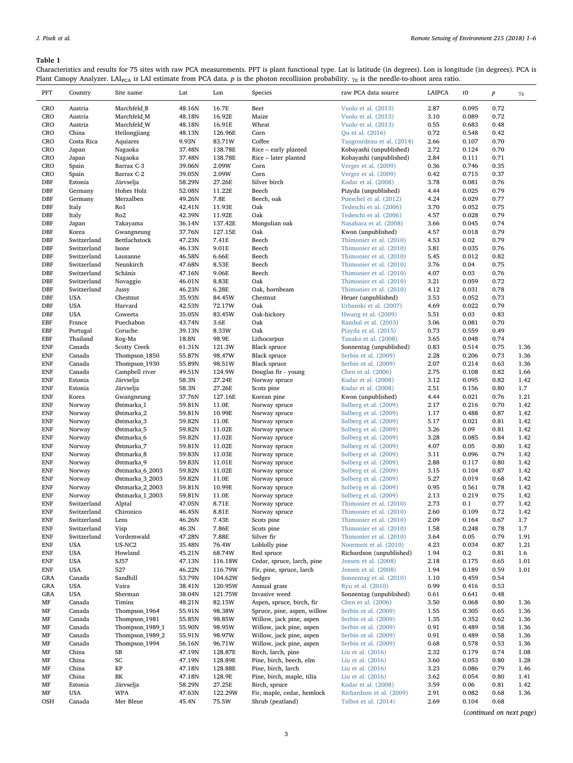# <span id="page-2-0"></span>Table 1

Characteristics and results for 75 sites with raw PCA measurements. PFT is plant functional type. Lat is latitude (in degrees). Lon is longitude (in degrees). PCA is Plant Canopy Analyzer. LAI<sub>PCA</sub> is LAI estimate from PCA data.  $p$  is the photon recollision probability.  $\gamma_E$  is the needle-to-shoot area ratio.

| ${\tt PFT}$               | Country                    | Site name               | Lat              | Lon               | Species                                     | raw PCA data source                                | LAIPCA       | t0             | $\boldsymbol{p}$ | $\gamma_E$   |
|---------------------------|----------------------------|-------------------------|------------------|-------------------|---------------------------------------------|----------------------------------------------------|--------------|----------------|------------------|--------------|
| CRO                       | Austria                    | Marchfeld_B             | 48.16N           | 16.7E             | Beet                                        | Vuolo et al. (2013)                                | 2.87         | 0.095          | 0.72             |              |
| CRO                       | Austria                    | Marchfeld_M             | 48.18N           | 16.92E            | Maize                                       | Vuolo et al. (2013)                                | 3.10         | 0.089          | 0.72             |              |
| CRO                       | Austria                    | Marchfeld_W             | 48.18N           | 16.91E            | Wheat                                       | Vuolo et al. (2013)                                | 0.55         | 0.683          | 0.48             |              |
| CRO                       | China                      | Heilongjiang            | 48.13N           | 126.96E           | Corn                                        | Qu et al. (2016)                                   | 0.72         | 0.548          | 0.42             |              |
| CRO                       | Costa Rica                 | Aquiares                | 9.93N            | 83.71W            | Coffee                                      | Taugourdeau et al. (2014)                          | 2.66         | 0.107          | 0.70             |              |
| CRO                       | Japan                      | Nagaoka                 | 37.48N           | 138.78E           | Rice - early planted                        | Kobayashi (unpublished)                            | 2.72         | 0.124          | 0.70             |              |
| CRO                       | Japan                      | Nagaoka                 | 37.48N           | 138.78E           | Rice - later planted                        | Kobayashi (unpublished)                            | 2.84         | 0.111          | 0.71             |              |
| CRO                       | Spain                      | Barrax C-3              | 39.06N           | 2.09W             | Corn                                        | Verger et al. (2009)                               | 0.36         | 0.746          | 0.35             |              |
| CRO                       | Spain                      | Barrax C-2              | 39.05N           | 2.09W             | Corn                                        | Verger et al. (2009)                               | 0.42         | 0.715          | 0.37             |              |
| DBF                       | Estonia                    | Järvselja               | 58.29N           | 27.26E            | Silver birch                                | Kodar et al. (2008)                                | 3.78         | 0.081          | 0.76             |              |
| <b>DBF</b>                | Germany                    | Hohes Holz              | 52.08N           | 11.22E            | Beech                                       | Piayda (unpublished)                               | 4.44         | 0.025          | 0.79             |              |
| DBF                       | Germany                    | Merzalben               | 49.26N           | 7.8E              | Beech, oak                                  | Pueschel et al. (2012)                             | 4.24         | 0.029          | 0.77             |              |
| DBF<br><b>DBF</b>         | Italy                      | Ro1<br>Ro <sub>2</sub>  | 42.41N           | 11.93E<br>11.92E  | Oak<br>Oak                                  | Tedeschi et al. (2006)                             | 3.70         | 0.052<br>0.028 | 0.75<br>0.79     |              |
| <b>DBF</b>                | Italy<br>Japan             | Takayama                | 42.39N<br>36.14N | 137.42E           | Mongolian oak                               | Tedeschi et al. (2006)<br>Nasahara et al. (2008)   | 4.57<br>3.66 | 0.045          | 0.74             |              |
| DBF                       | Korea                      | Gwangneung              | 37.76N           | 127.15E           | Oak                                         | Kwon (unpublished)                                 | 4.57         | 0.018          | 0.79             |              |
| <b>DBF</b>                | Switzerland                | Bettlachstock           | 47.23N           | 7.41E             | Beech                                       | Thimonier et al. (2010)                            | 4.53         | 0.02           | 0.79             |              |
| <b>DBF</b>                | Switzerland                | Isone                   | 46.13N           | 9.01E             | Beech                                       | Thimonier et al. (2010)                            | 3.81         | 0.035          | 0.76             |              |
| DBF                       | Switzerland                | Lausanne                | 46.58N           | 6.66E             | Beech                                       | Thimonier et al. (2010)                            | 5.45         | 0.012          | 0.82             |              |
| DBF                       | Switzerland                | Neunkirch               | 47.68N           | 8.53E             | Beech                                       | Thimonier et al. (2010)                            | 3.76         | 0.04           | 0.75             |              |
| <b>DBF</b>                | Switzerland                | Schänis                 | 47.16N           | 9.06E             | Beech                                       | Thimonier et al. (2010)                            | 4.07         | 0.03           | 0.76             |              |
| <b>DBF</b>                | Switzerland                | Novaggio                | 46.01N           | 8.83E             | Oak                                         | Thimonier et al. (2010)                            | 3.21         | 0.059          | 0.72             |              |
| DBF                       | Switzerland                | Jussy                   | 46.23N           | 6.28E             | Oak, hornbeam                               | Thimonier et al. (2010)                            | 4.12         | 0.031          | 0.78             |              |
| <b>DBF</b>                | <b>USA</b>                 | Chestnut                | 35.93N           | 84.45W            | Chestnut                                    | Heuer (unpublished)                                | 3.53         | 0.052          | 0.73             |              |
| <b>DBF</b>                | <b>USA</b>                 | Harvard                 | 42.53N           | 72.17W            | Oak                                         | Urbanski et al. (2007)                             | 4.69         | 0.022          | 0.79             |              |
| <b>DBF</b>                | <b>USA</b>                 | Coweeta                 | 35.05N           | 83.45W            | Oak-hickory                                 | Hwang et al. (2009)                                | 5.51         | 0.03           | 0.83             |              |
| EBF                       | France                     | Puechabon               | 43.74N           | 3.6E              | Oak                                         | Rambal et al. (2003)                               | 3.06         | 0.081          | 0.70             |              |
| EBF                       | Portugal                   | Coruche                 | 39.13N           | 8.33W             | Oak                                         | Piayda et al. (2015)                               | 0.73         | 0.559          | 0.49             |              |
| EBF                       | Thailand                   | Kog-Ma                  | 18.8N            | 98.9E             | Lithocarpus                                 | Tanaka et al. (2008)                               | 3.65         | 0.048          | 0.74             |              |
| <b>ENF</b>                | Canada                     | <b>Scotty Creek</b>     | 61.31N           | 121.3W            | <b>Black spruce</b>                         | Sonnentag (unpublished)                            | 0.83         | 0.514          | 0.75             | 1.36         |
| <b>ENF</b>                | Canada                     | Thompson_1850           | 55.87N           | 98.47W            | Black spruce                                | Serbin et al. (2009)                               | 2.28         | 0.206          | 0.73             | 1.36         |
| <b>ENF</b>                | Canada                     | Thompson_1930           | 55.89N           | 98.51W            | Black spruce                                | Serbin et al. (2009)                               | 2.07         | 0.214          | 0.63             | 1.36         |
| <b>ENF</b><br>${\rm ENF}$ | Canada                     | Campbell river          | 49.51N           | 124.9W            | Douglas fir - young                         | Chen et al. (2006)                                 | 2.75         | 0.108          | 0.82             | 1.66         |
| <b>ENF</b>                | Estonia<br>Estonia         | Järvselja<br>Järvselja  | 58.3N<br>58.3N   | 27.24E<br>27.26E  | Norway spruce                               | Kodar et al. (2008)<br>Kodar et al. (2008)         | 3.12<br>2.51 | 0.095<br>0.156 | 0.82<br>0.80     | 1.42<br>1.7  |
| <b>ENF</b>                | Korea                      | Gwangneung              | 37.76N           | 127.16E           | Scots pine<br>Korean pine                   | Kwon (unpublished)                                 | 4.44         | 0.021          | 0.76             | 1.21         |
| <b>ENF</b>                | Norway                     | Østmarka_1              | 59.81N           | 11.0E             | Norway spruce                               | Solberg et al. (2009)                              | 2.17         | 0.216          | 0.70             | 1.42         |
| <b>ENF</b>                | Norway                     | Østmarka_2              | 59.81N           | 10.99E            | Norway spruce                               | Solberg et al. (2009)                              | 1.17         | 0.488          | 0.87             | 1.42         |
| <b>ENF</b>                | Norway                     | Østmarka_3              | 59.82N           | 11.0E             | Norway spruce                               | Solberg et al. (2009)                              | 5.17         | 0.021          | 0.81             | 1.42         |
| <b>ENF</b>                | Norway                     | Østmarka_5              | 59.82N           | 11.02E            | Norway spruce                               | Solberg et al. (2009)                              | 3.26         | 0.09           | 0.81             | 1.42         |
| <b>ENF</b>                | Norway                     | Østmarka <sub>_6</sub>  | 59.82N           | 11.02E            | Norway spruce                               | Solberg et al. (2009)                              | 3.28         | 0.085          | 0.84             | 1.42         |
| <b>ENF</b>                | Norway                     | Østmarka_7              | 59.81N           | 11.02E            | Norway spruce                               | Solberg et al. (2009)                              | 4.07         | 0.05           | 0.80             | 1.42         |
| <b>ENF</b>                | Norway                     | Østmarka_8              | 59.83N           | 11.03E            | Norway spruce                               | Solberg et al. (2009)                              | 3.11         | 0.096          | 0.79             | 1.42         |
| <b>ENF</b>                | Norway                     | Østmarka_9              | 59.83N           | 11.01E            | Norway spruce                               | Solberg et al. (2009)                              | 2.88         | 0.117          | 0.80             | 1.42         |
| <b>ENF</b>                | Norway                     | Østmarka_6_2003         | 59.82N           | 11.02E            | Norway spruce                               | Solberg et al. (2009)                              | 3.15         | 0.104          | 0.87             | 1.42         |
| <b>ENF</b>                | Norway                     | Østmarka_3_2003         | 59.82N           | 11.0E             | Norway spruce                               | Solberg et al. (2009)                              | 5.27         | 0.019          | 0.68             | 1.42         |
| <b>ENF</b>                | Norway                     | Østmarka_2_2003         | 59.81N           | 10.99E            | Norway spruce                               | Solberg et al. (2009)                              | 0.95         | 0.561          | 0.78             | 1.42         |
| <b>ENF</b>                | Norway                     | Østmarka_1_2003         | 59.81N           | 11.0E             | Norway spruce                               | Solberg et al. (2009)                              | 2.13         | 0.219          | 0.75             | 1.42         |
| <b>ENF</b>                | Switzerland                | Alptal                  | 47.05N           | 8.71E             | Norway spruce                               | Thimonier et al. (2010)                            | 2.73         | 0.1            | 0.77             | 1.42         |
| <b>ENF</b>                | Switzerland                | Chironico               | 46.45N           | 8.81E             | Norway spruce                               | Thimonier et al. (2010)                            | 2.60         | 0.109          | 0.72             | 1.42         |
| <b>ENF</b>                | Switzerland<br>Switzerland | Lens                    | 46.26N           | 7.43E             | Scots pine<br>Scots pine                    | Thimonier et al. (2010)<br>Thimonier et al. (2010) | 2.09         | 0.164          | 0.67             | 1.7          |
| <b>ENF</b><br><b>ENF</b>  | Switzerland                | Visp<br>Vordemwald      | 46.3N<br>47.28N  | 7.86E<br>7.88E    | Silver fir                                  | Thimonier et al. (2010)                            | 1.58<br>3.64 | 0.248<br>0.05  | 0.78<br>0.79     | 1.7<br>1.91  |
| <b>ENF</b>                | <b>USA</b>                 | US-NC2                  | 35.48N           | 76.4W             | Loblolly pine                               | Noormets et al. (2010)                             | 4.23         | 0.034          | 0.87             | 1.21         |
| <b>ENF</b>                | <b>USA</b>                 | Howland                 | 45.21N           | 68.74W            | Red spruce                                  | Richardson (unpublished)                           | 1.94         | $0.2\,$        | 0.81             | 1.6          |
| <b>ENF</b>                | <b>USA</b>                 | SJ57                    | 47.13N           | 116.18W           | Cedar, spruce, larch, pine                  | Jensen et al. (2008)                               | 2.18         | 0.175          | 0.65             | 1.01         |
| <b>ENF</b>                | <b>USA</b>                 | 527                     | 46.22N           | 116.79W           | Fir, pine, spruce, larch                    | Jensen et al. (2008)                               | 1.94         | 0.189          | 0.59             | 1.01         |
| GRA                       | Canada                     | Sandhill                | 53.79N           | 104.62W           | Sedges                                      | Sonnentag et al. (2010)                            | 1.10         | 0.459          | 0.54             |              |
| GRA                       | <b>USA</b>                 | Vaira                   | 38.41N           | 120.95W           | Annual grass                                | Ryu et al. (2010)                                  | 0.99         | 0.416          | 0.53             |              |
| GRA                       | <b>USA</b>                 | Sherman                 | 38.04N           | 121.75W           | Invasive weed                               | Sonnentag (unpublished)                            | 0.61         | 0.641          | 0.48             |              |
| MF                        | Canada                     | Timins                  | 48.21N           | 82.15W            | Aspen, spruce, birch, fir                   | Chen et al. (2006)                                 | 3.50         | 0.068          | 0.80             | 1.36         |
| MF                        | Canada                     | Thompson_1964           | 55.91N           | 98.38W            | Spruce, pine, aspen, willow                 | Serbin et al. (2009)                               | 1.55         | 0.305          | 0.65             | 1.36         |
| MF                        | Canada                     | Thompson_1981           | 55.85N           | 98.85W            | Willow, jack pine, aspen                    | Serbin et al. (2009)                               | 1.35         | 0.352          | 0.62             | 1.36         |
| MF                        | Canada                     | Thompson 1989 1         | 55.90N           | 98.95W            | Willow, jack pine, aspen                    | Serbin et al. (2009)                               | 0.91         | 0.489          | 0.58             | 1.36         |
| MF                        | Canada                     | Thompson 1989 2         | 55.91N           | 98.97W            | Willow, jack pine, aspen                    | Serbin et al. (2009)                               | 0.91         | 0.489          | 0.58             | 1.36         |
| MF                        | Canada                     | Thompson_1994           | 56.16N           | 96.71W            | Willow, jack pine, aspen                    | Serbin et al. (2009)                               | 0.68         | 0.578          | 0.53             | 1.36         |
| MF                        | China                      | SB                      | 47.19N           | 128.87E           | Birch, larch, pine                          | Liu et al. (2016)                                  | 2.32         | 0.179          | 0.74             | 1.08         |
| MF                        | China                      | SC                      | 47.19N           | 128.89E           | Pine, birch, beech, elm                     | Liu et al. (2016)                                  | 3.60         | 0.053          | 0.80             | 1.28         |
| MF                        | China                      | KP                      | 47.18N           | 128.88E           | Pine, birch, larch                          | Liu et al. (2016)                                  | 3.23         | 0.086          | 0.79             | 1.46         |
| MF                        | China                      | BK                      | 47.18N           | 128.9E            | Pine, birch, maple, tilia                   | Liu et al. (2016)                                  | 3.62         | 0.054          | 0.80             | 1.41         |
| MF<br>MF                  | Estonia<br><b>USA</b>      | Järvselja<br><b>WPA</b> | 58.29N<br>47.63N | 27.25E<br>122.29W | Birch, spruce<br>Fir, maple, cedar, hemlock | Kodar et al. (2008)<br>Richardson et al. (2009)    | 3.59<br>2.91 | 0.06<br>0.082  | 0.81<br>0.68     | 1.42<br>1.36 |
| OSH                       | Canada                     | Mer Bleue               | 45.4N            | 75.5W             | Shrub (peatland)                            | Talbot et al. (2014)                               | 2.69         | 0.104          | 0.68             |              |
|                           |                            |                         |                  |                   |                                             |                                                    |              |                |                  |              |

(continued on next page)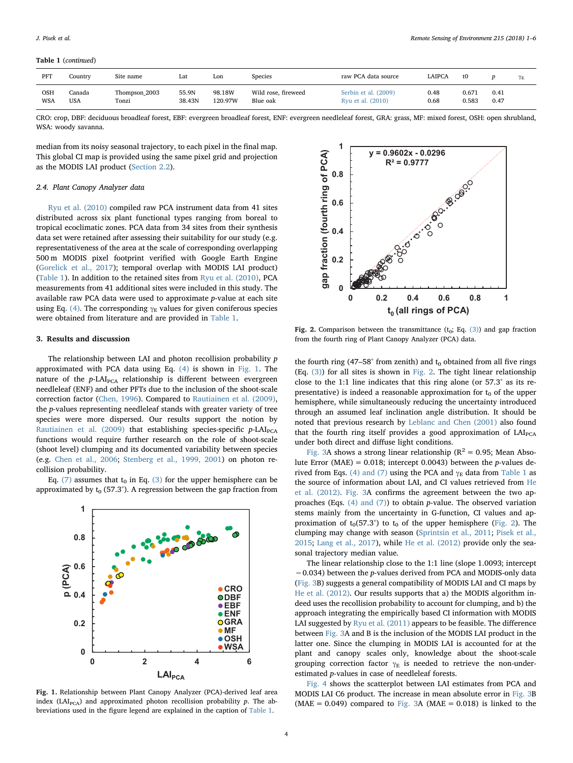#### Table 1 (continued)

| PFT        | Country    | Site name     | Lat    | Lon     | Species             | raw PCA data source  | LAIPCA | t0    |      | $\gamma_E$ |
|------------|------------|---------------|--------|---------|---------------------|----------------------|--------|-------|------|------------|
| OSH        | Canada     | Thompson_2003 | 55.9N  | 98.18W  | Wild rose, fireweed | Serbin et al. (2009) | 0.48   | 0.671 | 0.41 |            |
| <b>WSA</b> | <b>USA</b> | Tonzi         | 38.43N | 120.97W | Blue oak            | Ryu et al. (2010)    | 0.68   | 0.583 | 0.47 |            |

CRO: crop, DBF: deciduous broadleaf forest, EBF: evergreen broadleaf forest, ENF: evergreen needleleaf forest, GRA: grass, MF: mixed forest, OSH: open shrubland, WSA: woody savanna.

median from its noisy seasonal trajectory, to each pixel in the final map. This global CI map is provided using the same pixel grid and projection as the MODIS LAI product [\(Section 2.2\)](#page-1-5).

#### <span id="page-3-0"></span>2.4. Plant Canopy Analyzer data

[Ryu et al. \(2010\)](#page-5-17) compiled raw PCA instrument data from 41 sites distributed across six plant functional types ranging from boreal to tropical ecoclimatic zones. PCA data from 34 sites from their synthesis data set were retained after assessing their suitability for our study (e.g. representativeness of the area at the scale of corresponding overlapping 500 m MODIS pixel footprint verified with Google Earth Engine ([Gorelick et al., 2017\)](#page-5-48); temporal overlap with MODIS LAI product) ([Table 1](#page-2-0)). In addition to the retained sites from [Ryu et al. \(2010\),](#page-5-17) PCA measurements from 41 additional sites were included in this study. The available raw PCA data were used to approximate p-value at each site using Eq. [\(4\)](#page-1-3). The corresponding  $\gamma_E$  values for given coniferous species were obtained from literature and are provided in [Table 1.](#page-2-0)

#### 3. Results and discussion

The relationship between LAI and photon recollision probability p approximated with PCA data using Eq. [\(4\)](#page-1-3) is shown in [Fig. 1](#page-3-1). The nature of the  $p$ -LAI<sub>PCA</sub> relationship is different between evergreen needleleaf (ENF) and other PFTs due to the inclusion of the shoot-scale correction factor ([Chen, 1996\)](#page-4-2). Compared to [Rautiainen et al. \(2009\)](#page-5-18), the p-values representing needleleaf stands with greater variety of tree species were more dispersed. Our results support the notion by [Rautiainen et al. \(2009\)](#page-5-18) that establishing species-specific  $p$ -LAI<sub>PCA</sub> functions would require further research on the role of shoot-scale (shoot level) clumping and its documented variability between species (e.g. [Chen et al., 2006](#page-5-40); [Stenberg et al., 1999, 2001\)](#page-5-49) on photon recollision probability.

Eq. [\(7\)](#page-1-4) assumes that  $t_0$  in Eq. [\(3\)](#page-1-6) for the upper hemisphere can be approximated by  $t_0$  (57.3°). A regression between the gap fraction from

<span id="page-3-1"></span>

Fig. 1. Relationship between Plant Canopy Analyzer (PCA)-derived leaf area index (LAI<sub>PCA</sub>) and approximated photon recollision probability  $p$ . The abbreviations used in the figure legend are explained in the caption of [Table 1](#page-2-0).

<span id="page-3-2"></span>

Fig. 2. Comparison between the transmittance  $(t_0; Eq. (3))$  $(t_0; Eq. (3))$  and gap fraction from the fourth ring of Plant Canopy Analyzer (PCA) data.

the fourth ring (47–58° from zenith) and  $t_0$  obtained from all five rings (Eq. [\(3\)\)](#page-1-6) for all sites is shown in [Fig. 2](#page-3-2). The tight linear relationship close to the 1:1 line indicates that this ring alone (or 57.3° as its representative) is indeed a reasonable approximation for  $t_0$  of the upper hemisphere, while simultaneously reducing the uncertainty introduced through an assumed leaf inclination angle distribution. It should be noted that previous research by [Leblanc and Chen \(2001\)](#page-5-50) also found that the fourth ring itself provides a good approximation of LAI<sub>PCA</sub> under both direct and diffuse light conditions.

[Fig. 3A](#page-4-3) shows a strong linear relationship ( $R^2 = 0.95$ ; Mean Absolute Error (MAE) =  $0.018$ ; intercept 0.0043) between the *p*-values de-rived from Eqs. [\(4\) and \(7\)](#page-1-3) using the PCA and  $\gamma_E$  data from [Table 1](#page-2-0) as the source of information about LAI, and CI values retrieved from [He](#page-5-5) [et al. \(2012\).](#page-5-5) [Fig. 3](#page-4-3)A confirms the agreement between the two approaches (Eqs. [\(4\) and \(7\)\)](#page-1-3) to obtain p-value. The observed variation stems mainly from the uncertainty in G-function, CI values and approximation of  $t_0$ (57.3°) to  $t_0$  of the upper hemisphere [\(Fig. 2\)](#page-3-2). The clumping may change with season ([Sprintsin et al., 2011](#page-5-51); [Pisek et al.,](#page-5-52) [2015;](#page-5-52) [Lang et al., 2017\)](#page-5-53), while [He et al. \(2012\)](#page-5-5) provide only the seasonal trajectory median value.

The linear relationship close to the 1:1 line (slope 1.0093; intercept −0.034) between the p-values derived from PCA and MODIS-only data ([Fig. 3](#page-4-3)B) suggests a general compatibility of MODIS LAI and CI maps by [He et al. \(2012\).](#page-5-5) Our results supports that a) the MODIS algorithm indeed uses the recollision probability to account for clumping, and b) the approach integrating the empirically based CI information with MODIS LAI suggested by [Ryu et al. \(2011\)](#page-5-9) appears to be feasible. The difference between [Fig. 3](#page-4-3)A and B is the inclusion of the MODIS LAI product in the latter one. Since the clumping in MODIS LAI is accounted for at the plant and canopy scales only, knowledge about the shoot-scale grouping correction factor  $\gamma_E$  is needed to retrieve the non-underestimated p-values in case of needleleaf forests.

[Fig. 4](#page-4-4) shows the scatterplot between LAI estimates from PCA and MODIS LAI C6 product. The increase in mean absolute error in [Fig. 3B](#page-4-3) (MAE =  $0.049$ ) compared to [Fig. 3A](#page-4-3) (MAE =  $0.018$ ) is linked to the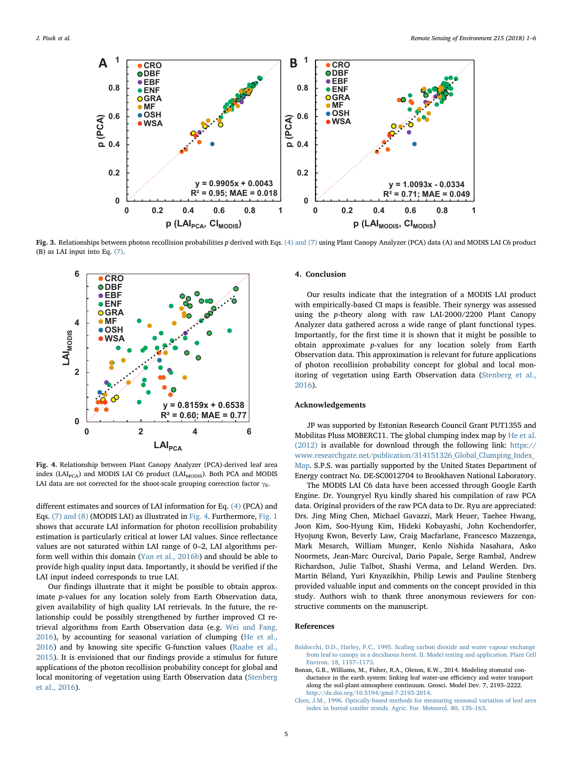<span id="page-4-3"></span>

Fig. 3. Relationships between photon recollision probabilities p derived with Eqs. [\(4\) and \(7\)](#page-1-3) using Plant Canopy Analyzer (PCA) data (A) and MODIS LAI C6 product (B) as LAI input into Eq. [\(7\)](#page-1-4).

<span id="page-4-4"></span>

Fig. 4. Relationship between Plant Canopy Analyzer (PCA)-derived leaf area index (LAI<sub>PCA</sub>) and MODIS LAI C6 product (LAI<sub>MODIS</sub>). Both PCA and MODIS LAI data are not corrected for the shoot-scale grouping correction factor  $\gamma_{\rm E}$ .

different estimates and sources of LAI information for Eq. [\(4\)](#page-1-3) (PCA) and Eqs. [\(7\) and \(8\)](#page-1-4) (MODIS LAI) as illustrated in [Fig. 4](#page-4-4). Furthermore, [Fig. 1](#page-3-1) shows that accurate LAI information for photon recollision probability estimation is particularly critical at lower LAI values. Since reflectance values are not saturated within LAI range of 0–2, LAI algorithms perform well within this domain ([Yan et al., 2016b](#page-5-21)) and should be able to provide high quality input data. Importantly, it should be verified if the LAI input indeed corresponds to true LAI.

Our findings illustrate that it might be possible to obtain approximate p-values for any location solely from Earth Observation data, given availability of high quality LAI retrievals. In the future, the relationship could be possibly strengthened by further improved CI retrieval algorithms from Earth Observation data (e.g. [Wei and Fang,](#page-5-7) [2016\)](#page-5-7), by accounting for seasonal variation of clumping ([He et al.,](#page-5-54) [2016\)](#page-5-54) and by knowing site specific G-function values [\(Raabe et al.,](#page-5-55) [2015\)](#page-5-55). It is envisioned that our findings provide a stimulus for future applications of the photon recollision probability concept for global and local monitoring of vegetation using Earth Observation data ([Stenberg](#page-5-14) [et al., 2016](#page-5-14)).

# 4. Conclusion

Our results indicate that the integration of a MODIS LAI product with empirically-based CI maps is feasible. Their synergy was assessed using the p-theory along with raw LAI-2000/2200 Plant Canopy Analyzer data gathered across a wide range of plant functional types. Importantly, for the first time it is shown that it might be possible to obtain approximate p-values for any location solely from Earth Observation data. This approximation is relevant for future applications of photon recollision probability concept for global and local monitoring of vegetation using Earth Observation data [\(Stenberg et al.,](#page-5-14) [2016\)](#page-5-14).

## Acknowledgements

JP was supported by Estonian Research Council Grant PUT1355 and Mobilitas Pluss MOBERC11. The global clumping index map by [He et al.](#page-5-5) [\(2012\)](#page-5-5) is available for download through the following link: [https://](https://www.researchgate.net/publication/314151326_Global_Clumping_Index_Map) [www.researchgate.net/publication/314151326\\_Global\\_Clumping\\_Index\\_](https://www.researchgate.net/publication/314151326_Global_Clumping_Index_Map) [Map.](https://www.researchgate.net/publication/314151326_Global_Clumping_Index_Map) S.P.S. was partially supported by the United States Department of Energy contract No. DE-SC0012704 to Brookhaven National Laboratory.

The MODIS LAI C6 data have been accessed through Google Earth Engine. Dr. Youngryel Ryu kindly shared his compilation of raw PCA data. Original providers of the raw PCA data to Dr. Ryu are appreciated: Drs. Jing Ming Chen, Michael Gavazzi, Mark Heuer, Taehee Hwang, Joon Kim, Soo-Hyung Kim, Hideki Kobayashi, John Kochendorfer, Hyojung Kwon, Beverly Law, Craig Macfarlane, Francesco Mazzenga, Mark Mesarch, William Munger, Kenlo Nishida Nasahara, Asko Noormets, Jean-Marc Ourcival, Dario Papale, Serge Rambal, Andrew Richardson, Julie Talbot, Shashi Verma, and Leland Werden. Drs. Martin Béland, Yuri Knyazikhin, Philip Lewis and Pauline Stenberg provided valuable input and comments on the concept provided in this study. Authors wish to thank three anonymous reviewers for constructive comments on the manuscript.

#### References

- <span id="page-4-1"></span>[Baldocchi, D.D., Harley, P.C., 1995. Scaling carbon dioxide and water vapour exchange](http://refhub.elsevier.com/S0034-4257(18)30255-4/rf0005) [from leaf to canopy in a deciduous forest. II. Model testing and application. Plant Cell](http://refhub.elsevier.com/S0034-4257(18)30255-4/rf0005) [Environ. 18, 1157](http://refhub.elsevier.com/S0034-4257(18)30255-4/rf0005)–1173.
- <span id="page-4-0"></span>Bonan, G.B., Williams, M., Fisher, R.A., Oleson, K.W., 2014. Modeling stomatal conductance in the earth system: linking leaf water-use efficiency and water transport along the soil-plant-atmosphere continuum. Geosci. Model Dev. 7, 2193–2222. <http://dx.doi.org/10.5194/gmd-7-2193-2014>.
- <span id="page-4-2"></span>[Chen, J.M., 1996. Optically-based methods for measuring seasonal variation of leaf area](http://refhub.elsevier.com/S0034-4257(18)30255-4/rf0020) [index in boreal conifer stands. Agric. For. Meteorol. 80, 135](http://refhub.elsevier.com/S0034-4257(18)30255-4/rf0020)–163.